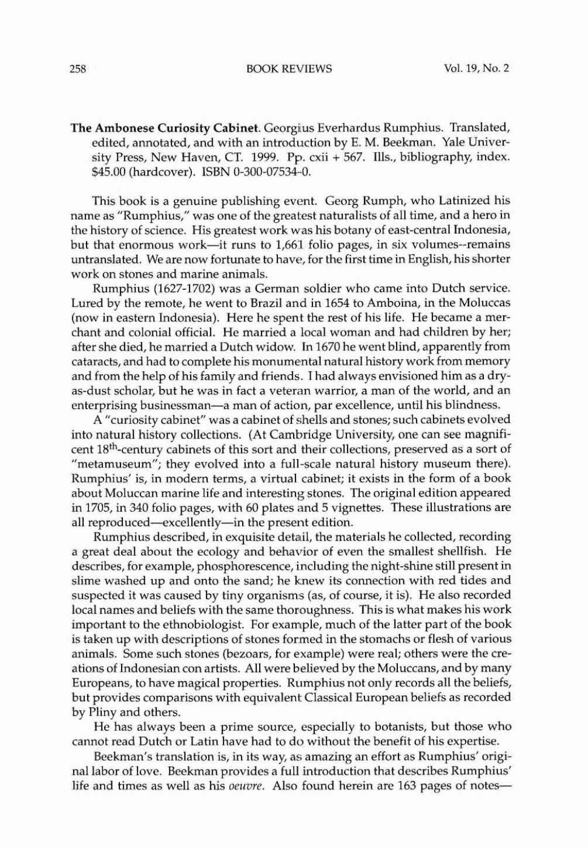258 BOOK REVIEWS Vol. 19, No.2

The Ambonese Curiosity Cabinet. Georgius Everhardus Rumphius. Translated, edited, annotated, and with an introduction by E. M. Beekman. Yale University Press, New Haven, CT. 1999. Pp. cxii + 567. Ills., bibliography, index. \$45.00 (hardcover). ISBN O~300·07534··0.

This book is a genuine publishing event. Georg Rumph, who Latinized his name as "Rumphius," was one of the greatest naturalists of all time, and a hero in the history of science. His greatest work was his botany of east-central Indonesia, but that enormous work-it runs to 1,661 folio pages, in six volumes--remains untranslated. We are now fortunate to have, for the first time in English, his shorter work on stones and marine animals.

Rumphius (1627-1702) was a German soldier who came into Dutch service. Lured by the remote, he went to Brazil and in 1654 to Amboina, in the Moluccas (now in eastern Indonesia). Here he spent the rest of his life. He became a merchant and colonial official. He married a local woman and had children by her; after she died, he married a Dutch widow. In 1670 he went blind, apparently from cataracts, and had to complete his monumental natural history work from memory and from the help of his family and friends. I had always envisioned him as a dryas-dust scholar, but he was in fact a veteran warrior, a man of the world, and an enterprising businessman-a man of action, par excellence, until his blindness.

A "curiosity cabinet" was a cabinet of shells and stones; such cabinets evolved into natural history collections. (At Cambridge University, one can see magnificent 18th-century cabinets of this sort and their collections, preserved as a sort of "metamuseum"; they evolved into a full-scale natural history museum there). Rumphius' is, in modern terms, a virtual cabinet; it exists in the form of a book about Moluccan marine life and interesting stones. The original edition appeared in 1705, in 340 folio pages, with 60 plates and 5 vignettes. These illustrations are all reproduced-excellently-in the present edition.

Rumphius described, in exquisite detail, the materials he collected, recording a great deal about the ecology and behavior of even the smallest shellfish. He describes, for example, phosphorescence, including the night-shine still present in slime washed up and onto the sand; he knew its connection with red tides and suspected it was caused by tiny organisms (as, of course, it is). He also recorded local names and beliefs with the same thoroughness. This is what makes his work important to the ethnobiologist. For example, much of the latter part of the book is taken up with descriptions of stones formed in the stomachs or flesh of various animals. Some such stones (bezoars, for example) were real; others were the creations of Indonesian con artists. All were believed by the Moluccans, and by many Europeans, to have magical properties. Rumphius not only records all the beliefs, but provides comparisons with equivalent Classical European beliefs as recorded by Pliny and others.

He has always been a prime source, especially to botanists, but those who cannot read Dutch or Latin have had to do without the benefit of his expertise.

Beekman's translation is, in its way, as amazing an effort as Rumphius' originallabor of love. Beekman provides a full introduction that describes Rumphius' life and times as well as his *oeuvre*. Also found herein are 163 pages of notes-